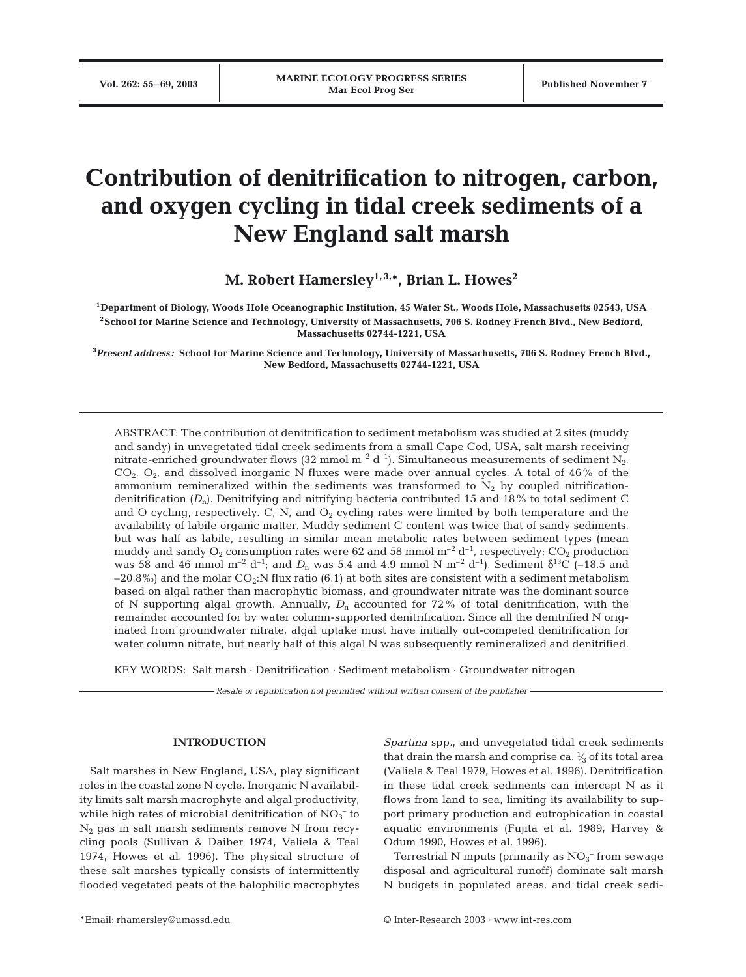# **Contribution of denitrification to nitrogen, carbon, and oxygen cycling in tidal creek sediments of a New England salt marsh**

**M. Robert Hamersley1, 3,\*, Brian L. Howes2**

**1Department of Biology, Woods Hole Oceanographic Institution, 45 Water St., Woods Hole, Massachusetts 02543, USA 2School for Marine Science and Technology, University of Massachusetts, 706 S. Rodney French Blvd., New Bedford, Massachusetts 02744-1221, USA**

**3** *Present address:* **School for Marine Science and Technology, University of Massachusetts, 706 S. Rodney French Blvd., New Bedford, Massachusetts 02744-1221, USA**

ABSTRACT: The contribution of denitrification to sediment metabolism was studied at 2 sites (muddy and sandy) in unvegetated tidal creek sediments from a small Cape Cod, USA, salt marsh receiving nitrate-enriched groundwater flows (32 mmol  $m^{-2} d^{-1}$ ). Simultaneous measurements of sediment N<sub>2</sub>,  $CO<sub>2</sub>$ ,  $O<sub>2</sub>$ , and dissolved inorganic N fluxes were made over annual cycles. A total of 46% of the ammonium remineralized within the sediments was transformed to  $N_2$  by coupled nitrificationdenitrification (*D*n). Denitrifying and nitrifying bacteria contributed 15 and 18% to total sediment C and O cycling, respectively. C, N, and  $O_2$  cycling rates were limited by both temperature and the availability of labile organic matter. Muddy sediment C content was twice that of sandy sediments, but was half as labile, resulting in similar mean metabolic rates between sediment types (mean muddy and sandy  $O_2$  consumption rates were 62 and 58 mmol m<sup>-2</sup> d<sup>-1</sup>, respectively; CO<sub>2</sub> production was 58 and 46 mmol m<sup>-2</sup> d<sup>-1</sup>; and  $D_n$  was 5.4 and 4.9 mmol N m<sup>-2</sup> d<sup>-1</sup>). Sediment  $\delta^{13}C$  (-18.5 and  $-20.8\%$ ) and the molar CO<sub>2</sub>:N flux ratio (6.1) at both sites are consistent with a sediment metabolism based on algal rather than macrophytic biomass, and groundwater nitrate was the dominant source of N supporting algal growth. Annually,  $D_n$  accounted for 72% of total denitrification, with the remainder accounted for by water column-supported denitrification. Since all the denitrified N originated from groundwater nitrate, algal uptake must have initially out-competed denitrification for water column nitrate, but nearly half of this algal N was subsequently remineralized and denitrified.

KEY WORDS: Salt marsh · Denitrification · Sediment metabolism · Groundwater nitrogen

*Resale or republication not permitted without written consent of the publisher*

# **INTRODUCTION**

Salt marshes in New England, USA, play significant roles in the coastal zone N cycle. Inorganic N availability limits salt marsh macrophyte and algal productivity, while high rates of microbial denitrification of  $\mathrm{NO_3}^-$  to  $N_2$  gas in salt marsh sediments remove N from recycling pools (Sullivan & Daiber 1974, Valiela & Teal 1974, Howes et al. 1996). The physical structure of these salt marshes typically consists of intermittently flooded vegetated peats of the halophilic macrophytes

*Spartina* spp*.*, and unvegetated tidal creek sediments that drain the marsh and comprise ca.  $\frac{1}{3}$  of its total area (Valiela & Teal 1979, Howes et al. 1996). Denitrification in these tidal creek sediments can intercept N as it flows from land to sea, limiting its availability to support primary production and eutrophication in coastal aquatic environments (Fujita et al*.* 1989, Harvey & Odum 1990, Howes et al. 1996).

Terrestrial N inputs (primarily as  $NO<sub>3</sub><sup>-</sup>$  from sewage disposal and agricultural runoff) dominate salt marsh N budgets in populated areas, and tidal creek sedi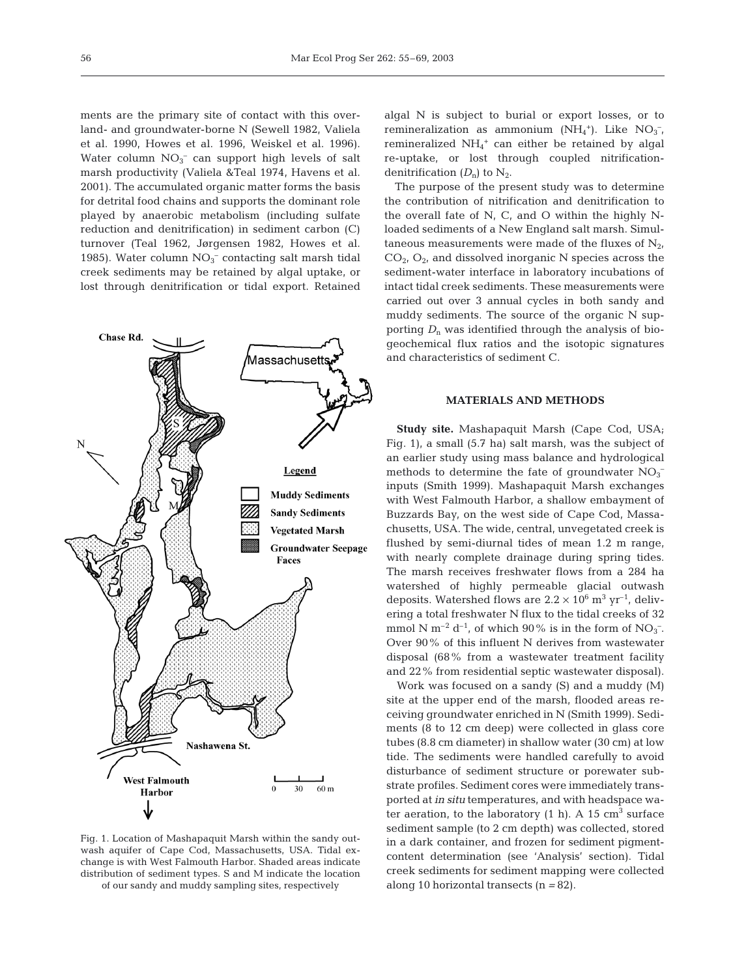ments are the primary site of contact with this overland- and groundwater-borne N (Sewell 1982, Valiela et al. 1990, Howes et al. 1996, Weiskel et al. 1996). Water column  $NO_3^-$  can support high levels of salt marsh productivity (Valiela &Teal 1974, Havens et al. 2001). The accumulated organic matter forms the basis for detrital food chains and supports the dominant role played by anaerobic metabolism (including sulfate reduction and denitrification) in sediment carbon (C) turnover (Teal 1962, Jørgensen 1982, Howes et al. 1985). Water column $\mathrm{NO_3^-}$  contacting salt marsh tidal creek sediments may be retained by algal uptake, or lost through denitrification or tidal export. Retained



Fig. 1. Location of Mashapaquit Marsh within the sandy outwash aquifer of Cape Cod, Massachusetts, USA. Tidal exchange is with West Falmouth Harbor. Shaded areas indicate distribution of sediment types. S and M indicate the location of our sandy and muddy sampling sites, respectively

algal N is subject to burial or export losses, or to remineralization as ammonium  $(NH_4^+)$ . Like  $NO_3^-$ , remineralized NH4 <sup>+</sup> can either be retained by algal re-uptake, or lost through coupled nitrificationdenitrification  $(D_n)$  to  $N_2$ .

The purpose of the present study was to determine the contribution of nitrification and denitrification to the overall fate of N, C, and O within the highly Nloaded sediments of a New England salt marsh. Simultaneous measurements were made of the fluxes of  $N_{2}$ ,  $CO<sub>2</sub>$ ,  $O<sub>2</sub>$ , and dissolved inorganic N species across the sediment-water interface in laboratory incubations of intact tidal creek sediments. These measurements were carried out over 3 annual cycles in both sandy and muddy sediments. The source of the organic N supporting  $D_n$  was identified through the analysis of biogeochemical flux ratios and the isotopic signatures and characteristics of sediment C.

# **MATERIALS AND METHODS**

**Study site.** Mashapaquit Marsh (Cape Cod, USA; Fig. 1), a small (5.7 ha) salt marsh, was the subject of an earlier study using mass balance and hydrological methods to determine the fate of groundwater  $NO<sub>3</sub>$ <sup>-</sup> inputs (Smith 1999). Mashapaquit Marsh exchanges with West Falmouth Harbor, a shallow embayment of Buzzards Bay, on the west side of Cape Cod, Massachusetts, USA. The wide, central, unvegetated creek is flushed by semi-diurnal tides of mean 1.2 m range, with nearly complete drainage during spring tides. The marsh receives freshwater flows from a 284 ha watershed of highly permeable glacial outwash deposits. Watershed flows are  $2.2 \times 10^6$  m<sup>3</sup> yr<sup>-1</sup>, delivering a total freshwater N flux to the tidal creeks of 32 mmol N m<sup>-2</sup> d<sup>-1</sup>, of which 90% is in the form of NO<sub>3</sub><sup>-</sup>. Over 90% of this influent N derives from wastewater disposal (68% from a wastewater treatment facility and 22% from residential septic wastewater disposal).

Work was focused on a sandy (S) and a muddy (M) site at the upper end of the marsh, flooded areas receiving groundwater enriched in N (Smith 1999). Sediments (8 to 12 cm deep) were collected in glass core tubes (8.8 cm diameter) in shallow water (30 cm) at low tide. The sediments were handled carefully to avoid disturbance of sediment structure or porewater substrate profiles. Sediment cores were immediately transported at *in situ* temperatures, and with headspace water aeration, to the laboratory  $(1 h)$ . A  $15 cm<sup>3</sup>$  surface sediment sample (to 2 cm depth) was collected, stored in a dark container, and frozen for sediment pigmentcontent determination (see 'Analysis' section). Tidal creek sediments for sediment mapping were collected along 10 horizontal transects (n *=* 82).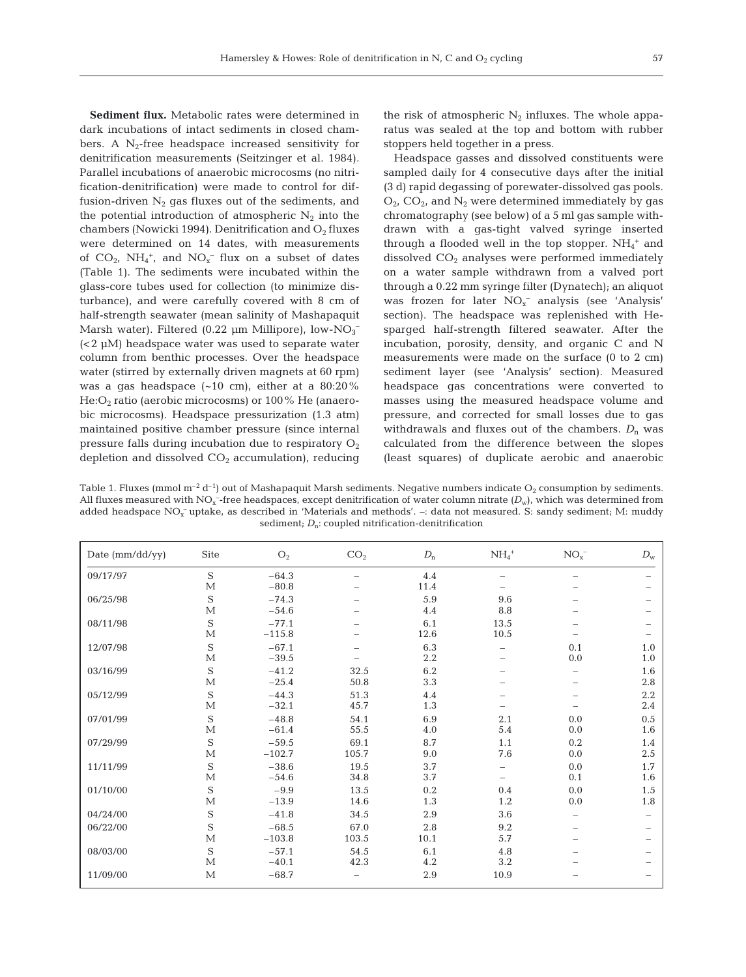**Sediment flux.** Metabolic rates were determined in dark incubations of intact sediments in closed chambers. A  $N_2$ -free headspace increased sensitivity for denitrification measurements (Seitzinger et al. 1984). Parallel incubations of anaerobic microcosms (no nitrification-denitrification) were made to control for diffusion-driven  $N_2$  gas fluxes out of the sediments, and the potential introduction of atmospheric  $N_2$  into the chambers (Nowicki 1994). Denitrification and  $O_2$  fluxes were determined on 14 dates, with measurements of  $CO_2$ ,  $NH_4^+$ , and  $NO_x^-$  flux on a subset of dates (Table 1). The sediments were incubated within the glass-core tubes used for collection (to minimize disturbance), and were carefully covered with 8 cm of half-strength seawater (mean salinity of Mashapaquit Marsh water). Filtered (0.22  $\mu$ m Millipore), low-NO<sub>3</sub><sup>-</sup> (<2 µM) headspace water was used to separate water column from benthic processes. Over the headspace water (stirred by externally driven magnets at 60 rpm) was a gas headspace  $(-10 \text{ cm})$ , either at a 80:20%  $He:O<sub>2</sub>$  ratio (aerobic microcosms) or 100% He (anaerobic microcosms). Headspace pressurization (1.3 atm) maintained positive chamber pressure (since internal pressure falls during incubation due to respiratory  $O_2$ depletion and dissolved  $CO<sub>2</sub>$  accumulation), reducing

the risk of atmospheric  $N_2$  influxes. The whole apparatus was sealed at the top and bottom with rubber stoppers held together in a press.

Headspace gasses and dissolved constituents were sampled daily for 4 consecutive days after the initial (3 d) rapid degassing of porewater-dissolved gas pools.  $O_{2}$ ,  $CO_{2}$ , and  $N_2$  were determined immediately by gas chromatography (see below) of a 5 ml gas sample withdrawn with a gas-tight valved syringe inserted through a flooded well in the top stopper.  $NH_4^+$  and dissolved  $CO<sub>2</sub>$  analyses were performed immediately on a water sample withdrawn from a valved port through a 0.22 mm syringe filter (Dynatech); an aliquot was frozen for later  $NO<sub>x</sub>^-$  analysis (see 'Analysis' section). The headspace was replenished with Hesparged half-strength filtered seawater. After the incubation, porosity, density, and organic C and N measurements were made on the surface (0 to 2 cm) sediment layer (see 'Analysis' section). Measured headspace gas concentrations were converted to masses using the measured headspace volume and pressure, and corrected for small losses due to gas withdrawals and fluxes out of the chambers.  $D_n$  was calculated from the difference between the slopes (least squares) of duplicate aerobic and anaerobic

Table 1. Fluxes (mmol  $m^{-2} d^{-1}$ ) out of Mashapaquit Marsh sediments. Negative numbers indicate O<sub>2</sub> consumption by sediments. All fluxes measured with  $\mathrm{NO_x^{-}$ -free headspaces, except denitrification of water column nitrate  $(D_\mathrm{w})$ , which was determined from added headspace NO<sub>x</sub> uptake, as described in 'Materials and methods'. -: data not measured. S: sandy sediment; M: muddy sediment;  $D_n$ : coupled nitrification-denitrification

| Date (mm/dd/yy) | Site         | O <sub>2</sub> | CO <sub>2</sub> | $D_\mathrm{n}$ | $NH_4$ <sup>+</sup>      | NO <sub>x</sub> | $D_{\rm w}$ |
|-----------------|--------------|----------------|-----------------|----------------|--------------------------|-----------------|-------------|
| 09/17/97        | $\mathbf S$  | $-64.3$        |                 | 4.4            |                          |                 |             |
|                 | $\mathbf{M}$ | $-80.8$        |                 | 11.4           |                          |                 |             |
| 06/25/98        | $\mathbf S$  | $-74.3$        |                 | 5.9            | 9.6                      |                 |             |
|                 | $\mathbf{M}$ | $-54.6$        |                 | 4.4            | 8.8                      |                 |             |
| 08/11/98        | S            | $-77.1$        |                 | 6.1            | 13.5                     |                 |             |
|                 | $\mathbf{M}$ | $-115.8$       |                 | 12.6           | 10.5                     |                 |             |
| 12/07/98        | $\mathbf S$  | $-67.1$        |                 | 6.3            |                          | 0.1             | 1.0         |
|                 | $\mathbf{M}$ | $-39.5$        |                 | 2.2            |                          | 0.0             | 1.0         |
| 03/16/99        | S            | $-41.2$        | 32.5            | 6.2            |                          |                 | 1.6         |
|                 | M            | $-25.4$        | 50.8            | 3.3            |                          |                 | 2.8         |
| 05/12/99        | S            | $-44.3$        | 51.3            | 4.4            |                          |                 | 2.2         |
|                 | М            | $-32.1$        | 45.7            | 1.3            |                          |                 | 2.4         |
| 07/01/99        | $\mathbf S$  | $-48.8$        | 54.1            | 6.9            | 2.1                      | 0.0             | 0.5         |
|                 | M            | $-61.4$        | 55.5            | 4.0            | 5.4                      | 0.0             | 1.6         |
| 07/29/99        | $\mathbf S$  | $-59.5$        | 69.1            | 8.7            | 1.1                      | 0.2             | 1.4         |
|                 | М            | $-102.7$       | 105.7           | 9.0            | 7.6                      | 0.0             | 2.5         |
| 11/11/99        | S            | $-38.6$        | 19.5            | 3.7            | $\overline{\phantom{0}}$ | $0.0\,$         | 1.7         |
|                 | $\mathbf{M}$ | $-54.6$        | 34.8            | 3.7            |                          | 0.1             | 1.6         |
| 01/10/00        | S            | $-9.9$         | 13.5            | 0.2            | 0.4                      | 0.0             | 1.5         |
|                 | M            | $-13.9$        | 14.6            | 1.3            | 1.2                      | 0.0             | 1.8         |
| 04/24/00        | S            | $-41.8$        | 34.5            | 2.9            | 3.6                      |                 |             |
| 06/22/00        | S            | $-68.5$        | 67.0            | 2.8            | 9.2                      |                 |             |
|                 | М            | $-103.8$       | 103.5           | 10.1           | 5.7                      |                 |             |
| 08/03/00        | S            | $-57.1$        | 54.5            | 6.1            | 4.8                      |                 |             |
|                 | M            | $-40.1$        | 42.3            | 4.2            | 3.2                      |                 |             |
| 11/09/00        | $\mathbf{M}$ | $-68.7$        |                 | 2.9            | 10.9                     |                 |             |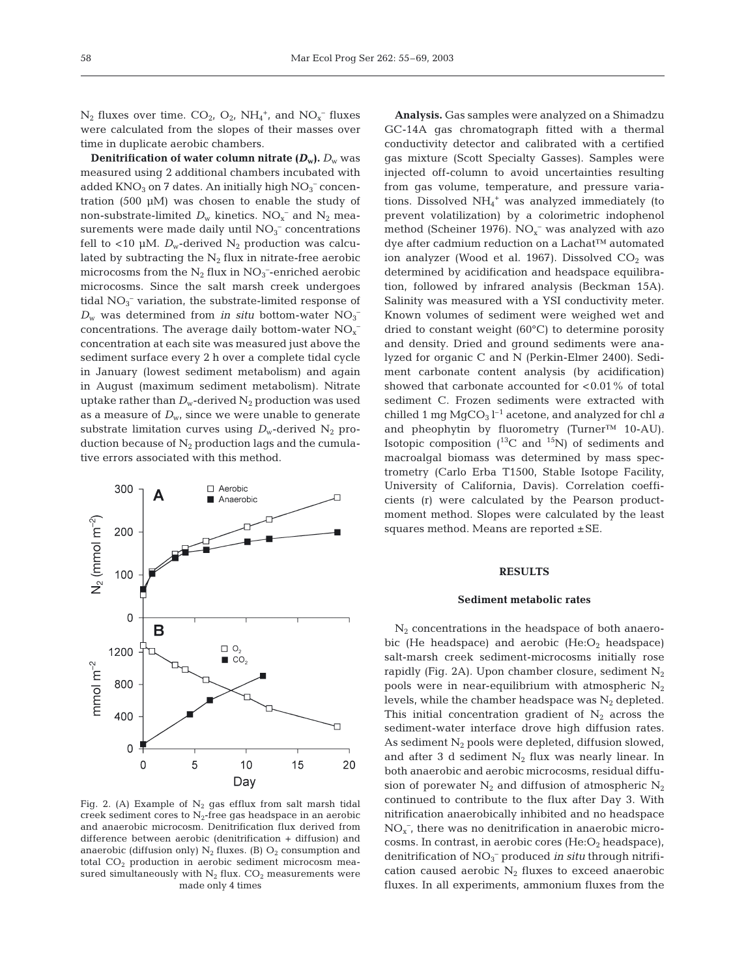$N_2$  fluxes over time.  $CO_2$ ,  $O_2$ ,  $NH_4^+$ , and  $NO_x^-$  fluxes were calculated from the slopes of their masses over time in duplicate aerobic chambers.

**Denitrification of water column nitrate**  $(D_w)$ **.**  $D_w$  was measured using 2 additional chambers incubated with added  $\rm KNO_3$  on 7 dates. An initially high  $\rm NO_3^-$  concentration (500 µM) was chosen to enable the study of non-substrate-limited  $D_w$  kinetics.  $NO_x^-$  and  $N_2$  measurements were made daily until  $NO<sub>3</sub><sup>-</sup>$  concentrations fell to <10 µM.  $D_w$ -derived N<sub>2</sub> production was calculated by subtracting the  $N_2$  flux in nitrate-free aerobic microcosms from the  $N_2$  flux in  $NO_3^-$ -enriched aerobic microcosms. Since the salt marsh creek undergoes tidal  $NO<sub>3</sub><sup>-</sup>$  variation, the substrate-limited response of  $D_w$  was determined from *in situ* bottom-water  $NO_3^$ concentrations. The average daily bottom-water  $\mathrm{NO_{x}^{-}}$ concentration at each site was measured just above the sediment surface every 2 h over a complete tidal cycle in January (lowest sediment metabolism) and again in August (maximum sediment metabolism). Nitrate uptake rather than  $D_w$ -derived  $N_2$  production was used as a measure of  $D_{\rm w}$ , since we were unable to generate substrate limitation curves using  $D_w$ -derived N<sub>2</sub> production because of  $N_2$  production lags and the cumulative errors associated with this method.



Fig. 2. (A) Example of  $N_2$  gas efflux from salt marsh tidal creek sediment cores to  $N_2$ -free gas headspace in an aerobic and anaerobic microcosm. Denitrification flux derived from difference between aerobic (denitrification + diffusion) and anaerobic (diffusion only)  $N_2$  fluxes. (B)  $O_2$  consumption and total  $CO<sub>2</sub>$  production in aerobic sediment microcosm measured simultaneously with  $N_2$  flux.  $CO_2$  measurements were made only 4 times

**Analysis.** Gas samples were analyzed on a Shimadzu GC-14A gas chromatograph fitted with a thermal conductivity detector and calibrated with a certified gas mixture (Scott Specialty Gasses). Samples were injected off-column to avoid uncertainties resulting from gas volume, temperature, and pressure variations. Dissolved NH<sub>4</sub><sup>+</sup> was analyzed immediately (to prevent volatilization) by a colorimetric indophenol method (Scheiner 1976).  $NO<sub>x</sub><sup>-</sup>$  was analyzed with azo dye after cadmium reduction on a Lachat™ automated ion analyzer (Wood et al. 1967). Dissolved  $CO<sub>2</sub>$  was determined by acidification and headspace equilibration, followed by infrared analysis (Beckman 15A). Salinity was measured with a YSI conductivity meter. Known volumes of sediment were weighed wet and dried to constant weight (60°C) to determine porosity and density. Dried and ground sediments were analyzed for organic C and N (Perkin-Elmer 2400). Sediment carbonate content analysis (by acidification) showed that carbonate accounted for  $< 0.01$ % of total sediment C. Frozen sediments were extracted with chilled 1 mg  $MgCO<sub>3</sub>l<sup>-1</sup>$  acetone, and analyzed for chl *a* and pheophytin by fluorometry (Turner™ 10-AU). Isotopic composition  $(^{13}C$  and  $^{15}N$ ) of sediments and macroalgal biomass was determined by mass spectrometry (Carlo Erba T1500, Stable Isotope Facility, University of California, Davis). Correlation coefficients (r) were calculated by the Pearson productmoment method. Slopes were calculated by the least squares method. Means are reported  $\pm$  SE.

# **RESULTS**

#### **Sediment metabolic rates**

 $N<sub>2</sub>$  concentrations in the headspace of both anaerobic (He headspace) and aerobic  $(He:O<sub>2</sub>$  headspace) salt-marsh creek sediment-microcosms initially rose rapidly (Fig. 2A). Upon chamber closure, sediment  $N_2$ pools were in near-equilibrium with atmospheric  $N<sub>2</sub>$ levels, while the chamber headspace was  $N_2$  depleted. This initial concentration gradient of  $N_2$  across the sediment-water interface drove high diffusion rates. As sediment  $N_2$  pools were depleted, diffusion slowed, and after 3 d sediment  $N_2$  flux was nearly linear. In both anaerobic and aerobic microcosms, residual diffusion of porewater  $N_2$  and diffusion of atmospheric  $N_2$ continued to contribute to the flux after Day 3. With nitrification anaerobically inhibited and no headspace  $NO<sub>x</sub>$ , there was no denitrification in anaerobic microcosms. In contrast, in aerobic cores  $(He:O<sub>2</sub>$  headspace), denitrification of NO<sub>3</sub><sup>-</sup> produced *in situ* through nitrification caused aerobic  $N_2$  fluxes to exceed anaerobic fluxes. In all experiments, ammonium fluxes from the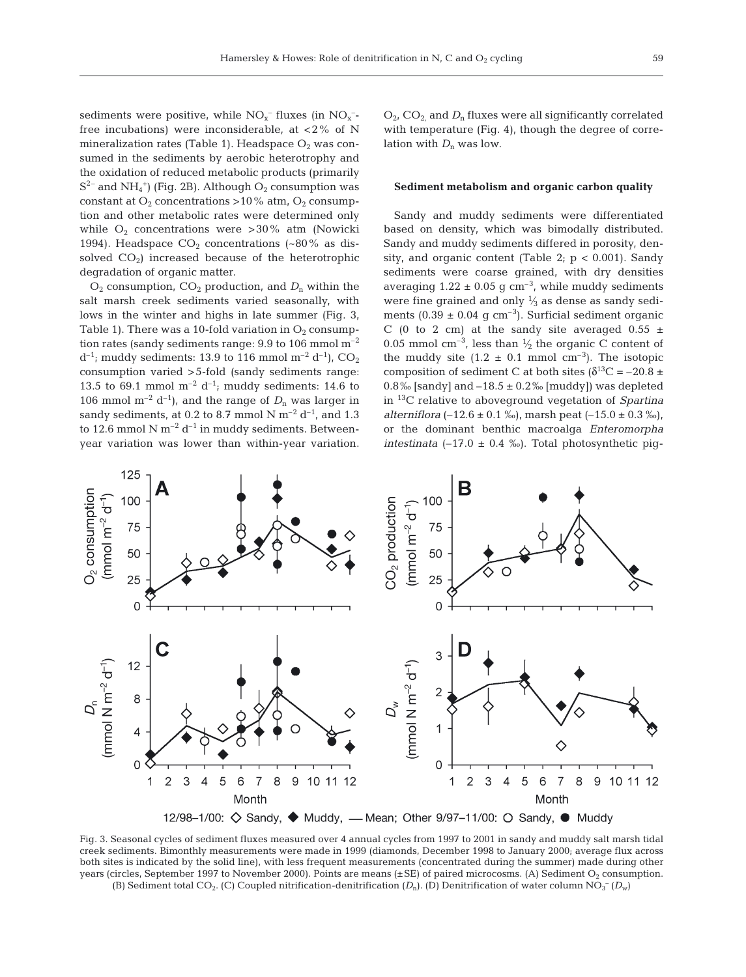sediments were positive, while  $NO<sub>x</sub><sup>-</sup>$  fluxes (in  $NO<sub>x</sub>$ free incubations) were inconsiderable, at  $\langle 2\% \rangle$  of N mineralization rates (Table 1). Headspace  $O_2$  was consumed in the sediments by aerobic heterotrophy and the oxidation of reduced metabolic products (primarily  $S^{2-}$  and NH<sub>4</sub><sup>+</sup>) (Fig. 2B). Although O<sub>2</sub> consumption was constant at  $O_2$  concentrations >10% atm,  $O_2$  consumption and other metabolic rates were determined only while  $O_2$  concentrations were >30% atm (Nowicki 1994). Headspace  $CO<sub>2</sub>$  concentrations (~80% as dissolved  $CO<sub>2</sub>$ ) increased because of the heterotrophic degradation of organic matter.

 $O_2$  consumption,  $CO_2$  production, and  $D_n$  within the salt marsh creek sediments varied seasonally, with lows in the winter and highs in late summer (Fig. 3, Table 1). There was a 10-fold variation in  $O_2$  consumption rates (sandy sediments range: 9.9 to 106 mmol m–2  $d^{-1}$ ; muddy sediments: 13.9 to 116 mmol m<sup>-2</sup> d<sup>-1</sup>), CO<sub>2</sub> consumption varied >5-fold (sandy sediments range: 13.5 to 69.1 mmol  $m^{-2} d^{-1}$ ; muddy sediments: 14.6 to 106 mmol  $m^{-2}$  d<sup>-1</sup>), and the range of  $D_n$  was larger in sandy sediments, at 0.2 to 8.7 mmol N  $\mathrm{m}^{-2}$  d<sup>-1</sup>, and 1.3 to 12.6 mmol N  $m^{-2}$  d<sup>-1</sup> in muddy sediments. Betweenyear variation was lower than within-year variation. O<sub>2</sub>, CO<sub>2</sub> and D<sub>n</sub> fluxes were all significantly correlated with temperature (Fig. 4), though the degree of correlation with  $D_n$  was low.

## **Sediment metabolism and organic carbon quality**

Sandy and muddy sediments were differentiated based on density, which was bimodally distributed. Sandy and muddy sediments differed in porosity, density, and organic content (Table 2;  $p < 0.001$ ). Sandy sediments were coarse grained, with dry densities averaging  $1.22 \pm 0.05$  g cm<sup>-3</sup>, while muddy sediments were fine grained and only  $\frac{1}{3}$  as dense as sandy sediments (0.39  $\pm$  0.04 g cm<sup>-3</sup>). Surficial sediment organic C (0 to 2 cm) at the sandy site averaged  $0.55 \pm$ 0.05 mmol  $\text{cm}^{-3}$ , less than  $\frac{1}{2}$  the organic C content of the muddy site  $(1.2 \pm 0.1 \text{ mmol cm}^{-3})$ . The isotopic composition of sediment C at both sites ( $\delta^{13}$ C = –20.8 ± 0.8‰ [sandy] and  $-18.5 \pm 0.2$ ‰ [muddy]) was depleted in 13C relative to aboveground vegetation of *Spartina alterniflora*  $(-12.6 \pm 0.1 \%)$ , marsh peat  $(-15.0 \pm 0.3 \%)$ , or the dominant benthic macroalga *Enteromorpha intestinata* ( $-17.0 \pm 0.4$  ‰). Total photosynthetic pig-



Fig. 3. Seasonal cycles of sediment fluxes measured over 4 annual cycles from 1997 to 2001 in sandy and muddy salt marsh tidal creek sediments. Bimonthly measurements were made in 1999 (diamonds, December 1998 to January 2000; average flux across both sites is indicated by the solid line), with less frequent measurements (concentrated during the summer) made during other years (circles, September 1997 to November 2000). Points are means  $(\pm SE)$  of paired microcosms. (A) Sediment O<sub>2</sub> consumption. (B) Sediment total CO<sub>2</sub>. (C) Coupled nitrification-denitrification  $(D_n)$ . (D) Denitrification of water column NO<sub>3</sub><sup>-</sup> ( $D_w$ )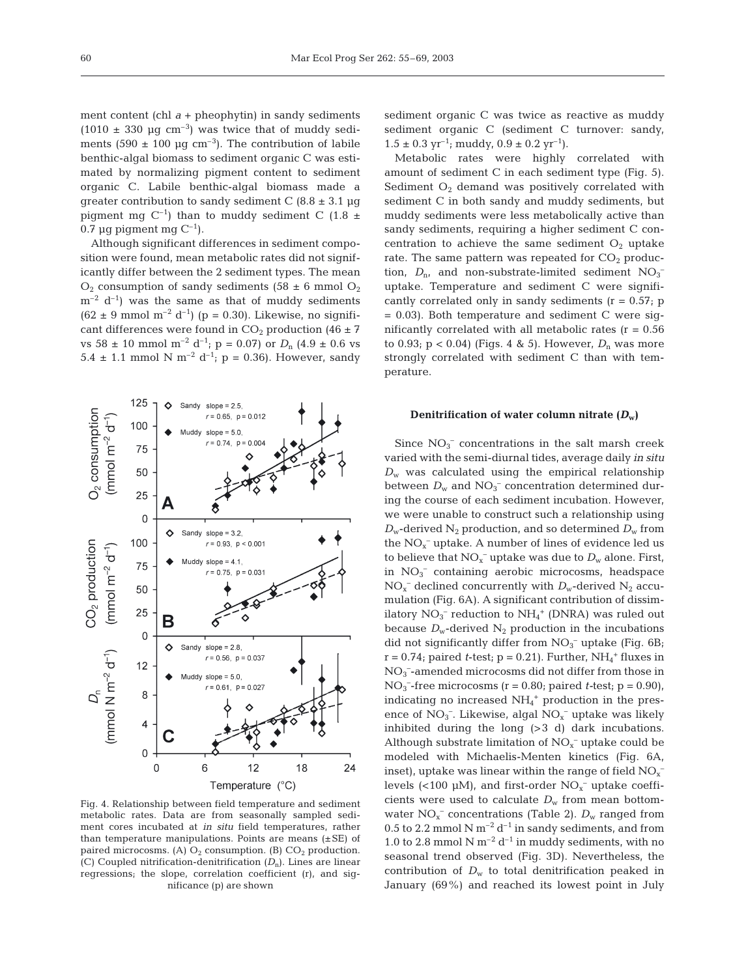ment content (chl  $a +$  pheophytin) in sandy sediments  $(1010 \pm 330 \text{ µq cm}^{-3})$  was twice that of muddy sediments (590  $\pm$  100 µg cm<sup>-3</sup>). The contribution of labile benthic-algal biomass to sediment organic C was estimated by normalizing pigment content to sediment organic C. Labile benthic-algal biomass made a greater contribution to sandy sediment C  $(8.8 \pm 3.1 \text{ µg})$ pigment mg C<sup>-1</sup>) than to muddy sediment C (1.8  $\pm$ 0.7 µg pigment mg  $C^{-1}$ ).

Although significant differences in sediment composition were found, mean metabolic rates did not significantly differ between the 2 sediment types. The mean  $O_2$  consumption of sandy sediments (58  $\pm$  6 mmol  $O_2$ )  $m^{-2}$  d<sup>-1</sup>) was the same as that of muddy sediments  $(62 \pm 9 \text{ mmol m}^{-2} \text{ d}^{-1})$  (p = 0.30). Likewise, no significant differences were found in  $CO<sub>2</sub>$  production (46  $\pm$  7) vs 58  $\pm$  10 mmol m<sup>-2</sup> d<sup>-1</sup>; p = 0.07) or *D*<sub>n</sub> (4.9  $\pm$  0.6 vs 5.4  $\pm$  1.1 mmol N m<sup>-2</sup> d<sup>-1</sup>; p = 0.36). However, sandy



Fig. 4. Relationship between field temperature and sediment metabolic rates. Data are from seasonally sampled sediment cores incubated at *in situ* field temperatures, rather than temperature manipulations. Points are means  $(\pm SE)$  of paired microcosms. (A)  $O_2$  consumption. (B)  $CO_2$  production. (C) Coupled nitrification-denitrification (*D*n). Lines are linear regressions; the slope, correlation coefficient (r), and significance (p) are shown

sediment organic C was twice as reactive as muddy sediment organic C (sediment C turnover: sandy,  $1.5 \pm 0.3$  yr<sup>-1</sup>; muddy,  $0.9 \pm 0.2$  yr<sup>-1</sup>).

Metabolic rates were highly correlated with amount of sediment C in each sediment type (Fig. 5). Sediment  $O_2$  demand was positively correlated with sediment C in both sandy and muddy sediments, but muddy sediments were less metabolically active than sandy sediments, requiring a higher sediment C concentration to achieve the same sediment  $O_2$  uptake rate. The same pattern was repeated for  $CO<sub>2</sub>$  production,  $D_{n}$ , and non-substrate-limited sediment  $NO_3^$ uptake. Temperature and sediment C were significantly correlated only in sandy sediments  $(r = 0.57; p$  $= 0.03$ ). Both temperature and sediment C were significantly correlated with all metabolic rates  $(r = 0.56$ to 0.93;  $p < 0.04$ ) (Figs. 4 & 5). However,  $D_n$  was more strongly correlated with sediment C than with temperature.

## **Denitrification of water column nitrate**  $(D_w)$

Since  $NO<sub>3</sub><sup>-</sup>$  concentrations in the salt marsh creek varied with the semi-diurnal tides, average daily *in situ*  $D_w$  was calculated using the empirical relationship between  $D_w$  and  $NO_3^-$  concentration determined during the course of each sediment incubation. However, we were unable to construct such a relationship using  $D_w$ -derived N<sub>2</sub> production, and so determined  $D_w$  from the  $NO<sub>x</sub><sup>-</sup>$  uptake. A number of lines of evidence led us to believe that  $NO<sub>x</sub><sup>-</sup>$  uptake was due to  $D<sub>w</sub>$  alone. First, in NO<sub>3</sub><sup>-</sup> containing aerobic microcosms, headspace  $NO<sub>x</sub><sup>-</sup>$  declined concurrently with  $D<sub>w</sub>$ -derived  $N<sub>2</sub>$  accumulation (Fig. 6A). A significant contribution of dissimilatory  $NO_3^-$  reduction to  $NH_4^+$  (DNRA) was ruled out because  $D_w$ -derived  $N_2$  production in the incubations did not significantly differ from  $NO<sub>3</sub><sup>-</sup>$  uptake (Fig. 6B;  $r = 0.74$ ; paired *t*-test;  $p = 0.21$ ). Further,  $NH_4^+$  fluxes in NO3 – -amended microcosms did not differ from those in  $NO<sub>3</sub>$ <sup>-</sup>-free microcosms (r = 0.80; paired *t*-test; p = 0.90), indicating no increased  $NH<sub>4</sub><sup>+</sup>$  production in the presence of  $NO_3^-$ . Likewise, algal  $NO_x^-$  uptake was likely inhibited during the long (>3 d) dark incubations. Although substrate limitation of  $NO<sub>x</sub><sup>-</sup>$  uptake could be modeled with Michaelis-Menten kinetics (Fig. 6A, inset), uptake was linear within the range of field  $\mathrm{NO_x^-}$ levels (<100  $\mu$ M), and first-order NO<sub>x</sub><sup>-</sup> uptake coefficients were used to calculate  $D_w$  from mean bottomwater NO<sub>x</sub><sup>-</sup> concentrations (Table 2).  $D_w$  ranged from 0.5 to 2.2 mmol N  $m^{-2}$  d<sup>-1</sup> in sandy sediments, and from 1.0 to 2.8 mmol N  $m^{-2}$  d<sup>-1</sup> in muddy sediments, with no seasonal trend observed (Fig. 3D). Nevertheless, the contribution of  $D_w$  to total denitrification peaked in January (69%) and reached its lowest point in July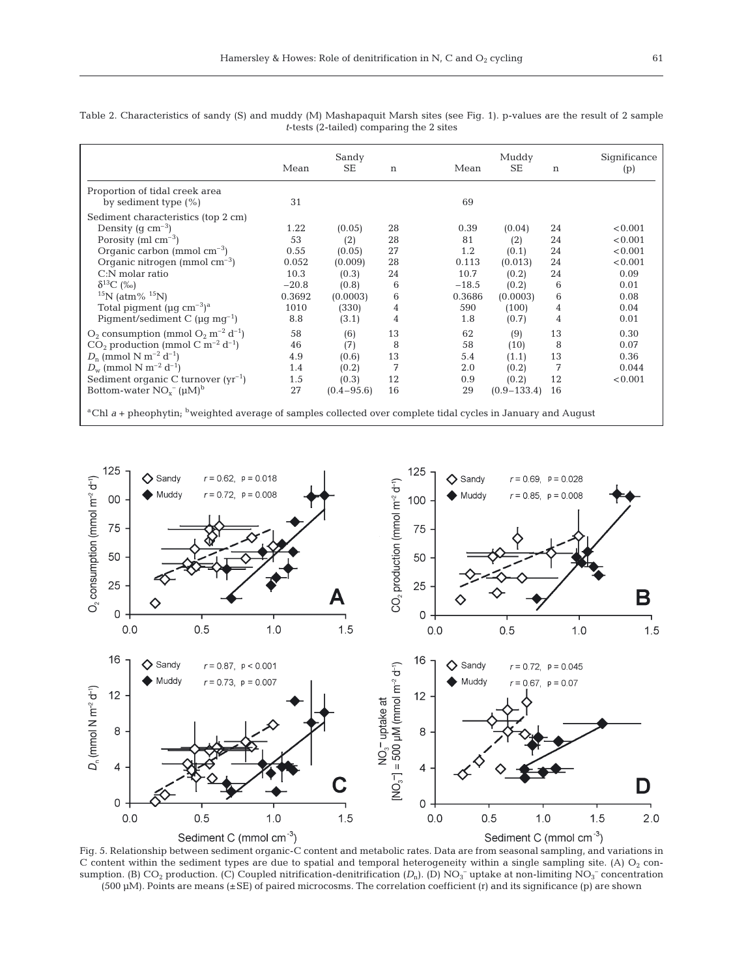|                                                                                                                                      | Mean    | Sandy<br><b>SE</b> | $\mathbf n$    | Mean    | Muddy<br>SE     | n  | Significance<br>(p) |
|--------------------------------------------------------------------------------------------------------------------------------------|---------|--------------------|----------------|---------|-----------------|----|---------------------|
| Proportion of tidal creek area                                                                                                       |         |                    |                |         |                 |    |                     |
| by sediment type $(\%)$                                                                                                              | 31      |                    |                | 69      |                 |    |                     |
| Sediment characteristics (top 2 cm)                                                                                                  |         |                    |                |         |                 |    |                     |
| Density (g $\text{cm}^{-3}$ )                                                                                                        | 1.22    | (0.05)             | 28             | 0.39    | (0.04)          | 24 | < 0.001             |
| Porosity (ml $\rm cm^{-3}$ )                                                                                                         | 53      | (2)                | 28             | 81      | (2)             | 24 | < 0.001             |
| Organic carbon (mmol $cm^{-3}$ )                                                                                                     | 0.55    | (0.05)             | 27             | 1.2     | (0.1)           | 24 | < 0.001             |
| Organic nitrogen (mmol $cm^{-3}$ )                                                                                                   | 0.052   | (0.009)            | 28             | 0.113   | (0.013)         | 24 | < 0.001             |
| $C:$ N molar ratio                                                                                                                   | 10.3    | (0.3)              | 24             | 10.7    | (0.2)           | 24 | 0.09                |
| $\delta^{13}C$ (%o)                                                                                                                  | $-20.8$ | (0.8)              | 6              | $-18.5$ | (0.2)           | 6  | 0.01                |
| $15N$ (atm% $15N$ )                                                                                                                  | 0.3692  | (0.0003)           | 6              | 0.3686  | (0.0003)        | 6  | 0.08                |
| Total piqment ( $\mu$ q cm <sup>-3</sup> ) <sup>a</sup>                                                                              | 1010    | (330)              | 4              | 590     | (100)           | 4  | 0.04                |
| Pigment/sediment C ( $\mu$ g mg <sup>-1</sup> )                                                                                      | 8.8     | (3.1)              | $\overline{4}$ | 1.8     | (0.7)           | 4  | 0.01                |
| $O_2$ consumption (mmol $O_2$ m <sup>-2</sup> d <sup>-1</sup> )                                                                      | 58      | (6)                | 13             | 62      | (9)             | 13 | 0.30                |
| $CO2$ production (mmol C m <sup>-2</sup> d <sup>-1</sup> )                                                                           | 46      | (7)                | 8              | 58      | (10)            | 8  | 0.07                |
| $D_n$ (mmol N m <sup>-2</sup> d <sup>-1</sup> )                                                                                      | 4.9     | (0.6)              | 13             | 5.4     | (1.1)           | 13 | 0.36                |
| $D_{\rm w}$ (mmol N m <sup>-2</sup> d <sup>-1</sup> )                                                                                | 1.4     | (0.2)              | 7              | 2.0     | (0.2)           | 7  | 0.044               |
| Sediment organic C turnover $(yr^{-1})$                                                                                              | 1.5     | (0.3)              | 12             | 0.9     | (0.2)           | 12 | < 0.001             |
| Bottom-water $NO_x^- (\mu M)^b$                                                                                                      | 27      | $(0.4 - 95.6)$     | 16             | 29      | $(0.9 - 133.4)$ | 16 |                     |
| <sup>a</sup> Chl a + pheophytin; <sup>b</sup> weighted average of samples collected over complete tidal cycles in January and August |         |                    |                |         |                 |    |                     |

Table 2. Characteristics of sandy (S) and muddy (M) Mashapaquit Marsh sites (see Fig. 1). p-values are the result of 2 sample *t*-tests (2-tailed) comparing the 2 sites



Fig. 5. Relationship between sediment organic-C content and metabolic rates. Data are from seasonal sampling, and variations in C content within the sediment types are due to spatial and temporal heterogeneity within a single sampling site. (A)  $O_2$  consumption. (B)  $CO_2$  production. (C) Coupled nitrification-denitrification ( $D_n$ ). (D)  $NO_3^-$  uptake at non-limiting  $NO_3^-$  concentration  $(500 \,\mu\text{M})$ . Points are means  $(\pm \text{SE})$  of paired microcosms. The correlation coefficient (r) and its significance (p) are shown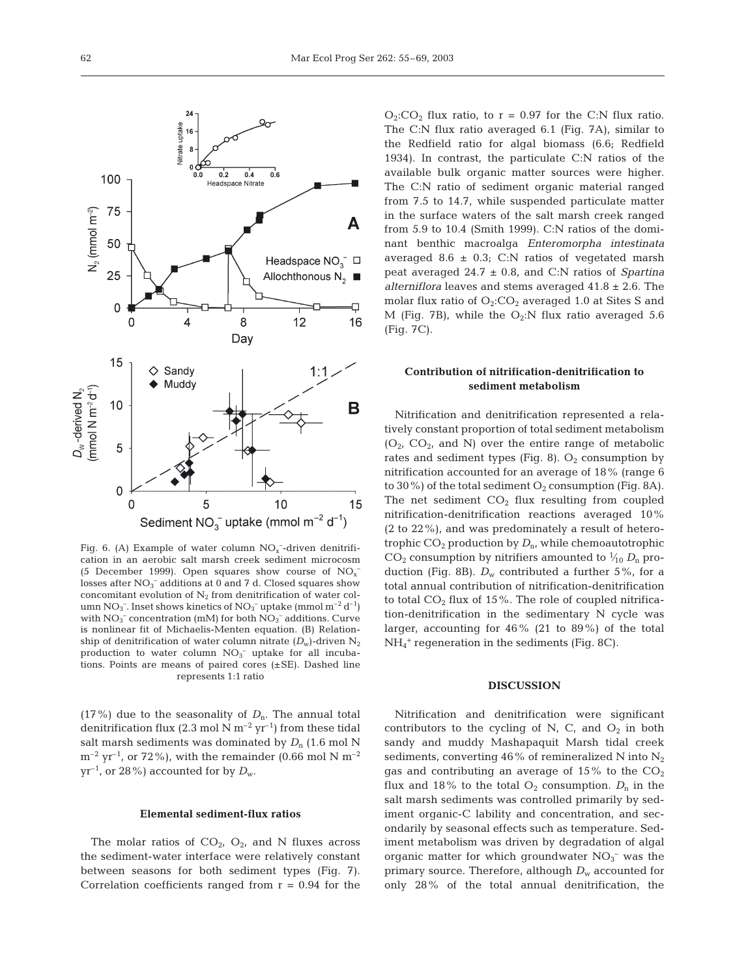

Fig. 6. (A) Example of water column  $NO<sub>x</sub>$ -driven denitrification in an aerobic salt marsh creek sediment microcosm (5 December 1999). Open squares show course of  $NO<sub>x</sub>$ <sup>-</sup> losses after  $NO_3^-$  additions at 0 and 7 d. Closed squares show concomitant evolution of  $N_2$  from denitrification of water column NO<sub>3</sub><sup>-</sup>. Inset shows kinetics of NO<sub>3</sub><sup>-</sup> uptake (mmol m<sup>-2</sup> d<sup>-1</sup>) with  $NO<sub>3</sub><sup>-</sup> concentration (mM)$  for both  $NO<sub>3</sub><sup>-</sup> additions. Curve$ is nonlinear fit of Michaelis-Menten equation. (B) Relationship of denitrification of water column nitrate  $(D_w)$ -driven N<sub>2</sub> production to water column  $NO<sub>3</sub><sup>-</sup>$  uptake for all incubations. Points are means of paired cores  $(\pm SE)$ . Dashed line represents 1:1 ratio

(17%) due to the seasonality of  $D_n$ . The annual total denitrification flux (2.3 mol N  $m^{-2}$  yr<sup>-1</sup>) from these tidal salt marsh sediments was dominated by  $D_n$  (1.6 mol N  $\rm m^{-2}$  yr<sup>-1</sup>, or 72%), with the remainder (0.66 mol N  $\rm m^{-2}$  $yr^{-1}$ , or 28%) accounted for by  $D_w$ .

#### **Elemental sediment-flux ratios**

The molar ratios of  $CO<sub>2</sub>$ ,  $O<sub>2</sub>$ , and N fluxes across the sediment-water interface were relatively constant between seasons for both sediment types (Fig. 7). Correlation coefficients ranged from  $r = 0.94$  for the  $O_2$ : $CO_2$  flux ratio, to  $r = 0.97$  for the C:N flux ratio. The C:N flux ratio averaged 6.1 (Fig. 7A), similar to the Redfield ratio for algal biomass (6.6; Redfield 1934). In contrast, the particulate C:N ratios of the available bulk organic matter sources were higher. The C:N ratio of sediment organic material ranged from 7.5 to 14.7, while suspended particulate matter in the surface waters of the salt marsh creek ranged from 5.9 to 10.4 (Smith 1999). C:N ratios of the dominant benthic macroalga *Enteromorpha intestinata* averaged 8.6  $\pm$  0.3; C:N ratios of vegetated marsh peat averaged 24.7 ± 0.8, and C:N ratios of *Spartina alterniflora* leaves and stems averaged 41.8 ± 2.6. The molar flux ratio of  $O_2$ :CO<sub>2</sub> averaged 1.0 at Sites S and M (Fig. 7B), while the  $O_2:N$  flux ratio averaged 5.6 (Fig. 7C).

# **Contribution of nitrification-denitrification to sediment metabolism**

Nitrification and denitrification represented a relatively constant proportion of total sediment metabolism  $(O_2, CO_2,$  and N) over the entire range of metabolic rates and sediment types (Fig. 8).  $O_2$  consumption by nitrification accounted for an average of 18% (range 6 to 30%) of the total sediment  $O_2$  consumption (Fig. 8A). The net sediment  $CO<sub>2</sub>$  flux resulting from coupled nitrification-denitrification reactions averaged 10% (2 to 22%), and was predominately a result of heterotrophic  $CO_2$  production by  $D_n$ , while chemoautotrophic  $CO_2$  consumption by nitrifiers amounted to  $\frac{1}{10} D_n$  production (Fig. 8B).  $D_w$  contributed a further 5%, for a total annual contribution of nitrification-denitrification to total  $CO<sub>2</sub>$  flux of 15%. The role of coupled nitrification-denitrification in the sedimentary N cycle was larger, accounting for  $46\%$  (21 to 89%) of the total NH4 <sup>+</sup> regeneration in the sediments (Fig. 8C).

#### **DISCUSSION**

Nitrification and denitrification were significant contributors to the cycling of N, C, and  $O_2$  in both sandy and muddy Mashapaquit Marsh tidal creek sediments, converting 46% of remineralized N into  $N_2$ gas and contributing an average of  $15\%$  to the  $CO<sub>2</sub>$ flux and 18% to the total  $O_2$  consumption.  $D_n$  in the salt marsh sediments was controlled primarily by sediment organic-C lability and concentration, and secondarily by seasonal effects such as temperature. Sediment metabolism was driven by degradation of algal organic matter for which groundwater  $NO<sub>3</sub><sup>-</sup>$  was the primary source. Therefore, although  $D_w$  accounted for only 28% of the total annual denitrification, the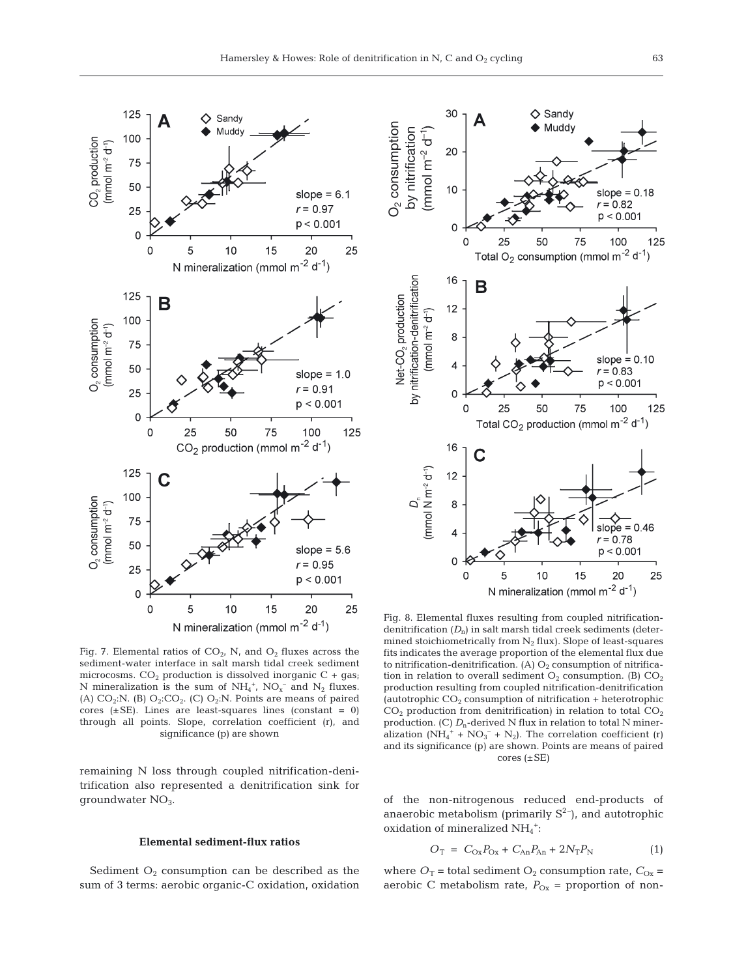Fig. 7. Elemental ratios of  $CO<sub>2</sub>$ , N, and  $O<sub>2</sub>$  fluxes across the sediment-water interface in salt marsh tidal creek sediment microcosms.  $CO<sub>2</sub>$  production is dissolved inorganic C + gas; N mineralization is the sum of  $NH_4^+$ ,  $NO<sub>x</sub><sup>-</sup>$  and  $N<sub>2</sub>$  fluxes. (A)  $CO<sub>2</sub>:N$ . (B)  $O<sub>2</sub>:CO<sub>2</sub>$ . (C)  $O<sub>2</sub>:N$ . Points are means of paired cores  $(\pm SE)$ . Lines are least-squares lines (constant = 0) through all points. Slope, correlation coefficient (r), and significance (p) are shown

125

100

75 50

25

 $\mathbf 0$ 

125

100

75

50

25

0

125

100

75

50

25

 $\mathsf{O}$ 

 $CO<sub>2</sub>$  production<br>(mmol m<sup>-2</sup> d<sup>-1</sup>)

O<sub>2</sub> consumption  $(mmol \, m^{-2} \, d^{-1})$ 

O<sub>2</sub> consumption  $(mmol \, m^{-2} \, d^{-1})$ 

remaining N loss through coupled nitrification-denitrification also represented a denitrification sink for groundwater NO3.

## **Elemental sediment-flux ratios**

Sediment  $O_2$  consumption can be described as the sum of 3 terms: aerobic organic-C oxidation, oxidation

Fig. 8. Elemental fluxes resulting from coupled nitrificationdenitrification  $(D_n)$  in salt marsh tidal creek sediments (determined stoichiometrically from  $N_2$  flux). Slope of least-squares fits indicates the average proportion of the elemental flux due to nitrification-denitrification. (A)  $O_2$  consumption of nitrification in relation to overall sediment  $O_2$  consumption. (B)  $CO_2$ production resulting from coupled nitrification-denitrification (autotrophic  $CO<sub>2</sub>$  consumption of nitrification + heterotrophic  $CO<sub>2</sub>$  production from denitrification) in relation to total  $CO<sub>2</sub>$ production. (C)  $D_n$ -derived N flux in relation to total N mineralization (NH<sub>4</sub><sup>+</sup> + NO<sub>3</sub><sup>-</sup> + N<sub>2</sub>). The correlation coefficient (r) and its significance (p) are shown. Points are means of paired cores  $(\pm SE)$ 

of the non-nitrogenous reduced end-products of anaerobic metabolism (primarily  $S^2$ ), and autotrophic oxidation of mineralized NH<sub>4</sub><sup>+</sup>:

$$
O_T = C_{Ox}P_{Ox} + C_{An}P_{An} + 2N_T P_N \tag{1}
$$

where  $O_T$  = total sediment  $O_2$  consumption rate,  $C_{Ox}$  = aerobic C metabolism rate,  $P_{Ox}$  = proportion of non-





 $\Diamond$  Sandy

Muddy

Δ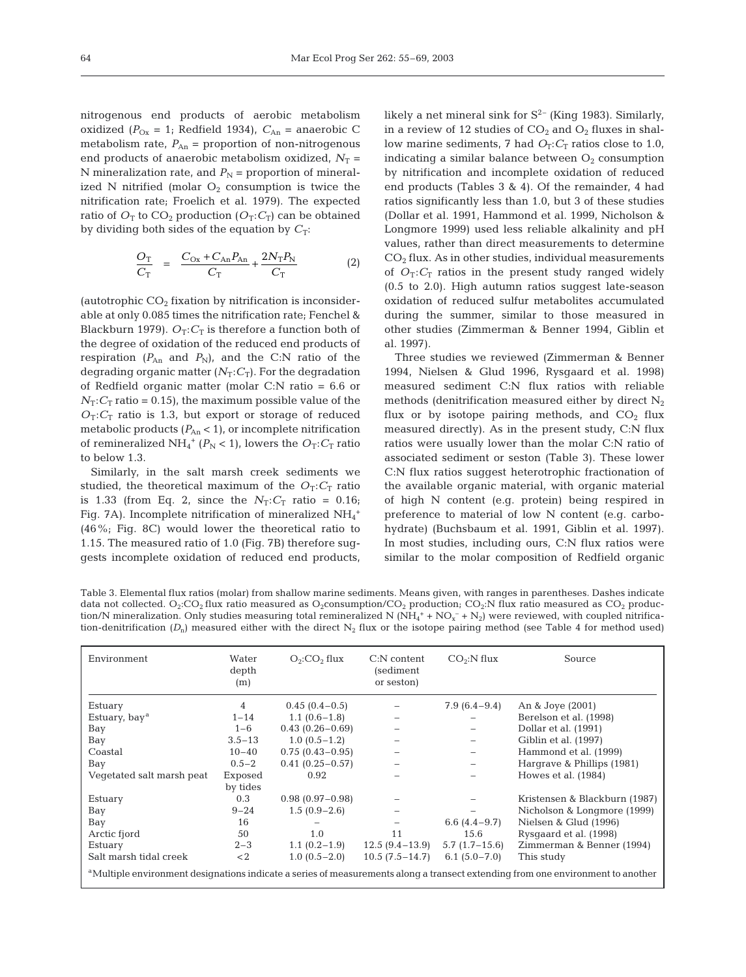nitrogenous end products of aerobic metabolism oxidized ( $P_{\text{Ox}} = 1$ ; Redfield 1934),  $C_{\text{An}} =$  anaerobic C metabolism rate,  $P_{An}$  = proportion of non-nitrogenous end products of anaerobic metabolism oxidized,  $N_T$  = N mineralization rate, and  $P_N$  = proportion of mineralized N nitrified (molar  $O_2$  consumption is twice the nitrification rate; Froelich et al. 1979). The expected ratio of  $O_T$  to  $CO_2$  production  $(O_T: C_T)$  can be obtained by dividing both sides of the equation by  $C_T$ :

$$
\frac{O_{\rm T}}{C_{\rm T}} = \frac{C_{\rm Ox} + C_{\rm An} P_{\rm An}}{C_{\rm T}} + \frac{2N_{\rm T} P_{\rm N}}{C_{\rm T}} \tag{2}
$$

(autotrophic  $CO<sub>2</sub>$  fixation by nitrification is inconsiderable at only 0.085 times the nitrification rate; Fenchel & Blackburn 1979).  $O_T: C_T$  is therefore a function both of the degree of oxidation of the reduced end products of respiration  $(P_{An}$  and  $P_N$ ), and the C:N ratio of the degrading organic matter  $(N_T; C_T)$ . For the degradation of Redfield organic matter (molar C:N ratio = 6.6 or  $N_T$ : $C_T$  ratio = 0.15), the maximum possible value of the  $O_T: C_T$  ratio is 1.3, but export or storage of reduced metabolic products  $(P_{An} < 1)$ , or incomplete nitrification of remineralized NH<sub>4</sub><sup>+</sup> ( $P_N$  < 1), lowers the  $O_T:C_T$  ratio to below 1.3.

Similarly, in the salt marsh creek sediments we studied, the theoretical maximum of the  $O_T: C_T$  ratio is 1.33 (from Eq. 2, since the  $N_T$ : $C_T$  ratio = 0.16; Fig. 7A). Incomplete nitrification of mineralized  $\mathrm{NH}_4^+$ (46%; Fig. 8C) would lower the theoretical ratio to 1.15. The measured ratio of 1.0 (Fig. 7B) therefore suggests incomplete oxidation of reduced end products,

likely a net mineral sink for  $S^{2-}$  (King 1983). Similarly, in a review of 12 studies of  $CO<sub>2</sub>$  and  $O<sub>2</sub>$  fluxes in shallow marine sediments, 7 had  $O_T: C_T$  ratios close to 1.0, indicating a similar balance between  $O_2$  consumption by nitrification and incomplete oxidation of reduced end products (Tables 3 & 4). Of the remainder, 4 had ratios significantly less than 1.0, but 3 of these studies (Dollar et al. 1991, Hammond et al. 1999, Nicholson & Longmore 1999) used less reliable alkalinity and pH values, rather than direct measurements to determine  $CO<sub>2</sub>$  flux. As in other studies, individual measurements of  $O_T: C_T$  ratios in the present study ranged widely (0.5 to 2.0). High autumn ratios suggest late-season oxidation of reduced sulfur metabolites accumulated during the summer, similar to those measured in other studies (Zimmerman & Benner 1994, Giblin et al. 1997).

Three studies we reviewed (Zimmerman & Benner 1994, Nielsen & Glud 1996, Rysgaard et al*.* 1998) measured sediment C:N flux ratios with reliable methods (denitrification measured either by direct  $N_2$ flux or by isotope pairing methods, and  $CO<sub>2</sub>$  flux measured directly). As in the present study, C:N flux ratios were usually lower than the molar C:N ratio of associated sediment or seston (Table 3). These lower C:N flux ratios suggest heterotrophic fractionation of the available organic material, with organic material of high N content (e.g. protein) being respired in preference to material of low N content (e.g. carbohydrate) (Buchsbaum et al. 1991, Giblin et al. 1997). In most studies, including ours, C:N flux ratios were similar to the molar composition of Redfield organic

Table 3. Elemental flux ratios (molar) from shallow marine sediments. Means given, with ranges in parentheses. Dashes indicate data not collected.  $O_2:CO_2$  flux ratio measured as  $O_2$ consumption/CO<sub>2</sub> production; CO<sub>2</sub>:N flux ratio measured as CO<sub>2</sub> production/N mineralization. Only studies measuring total remineralized N  $(NH_4^+ + NO_x^- + N_2)$  were reviewed, with coupled nitrification-denitrification  $(D_n)$  measured either with the direct  $N_2$  flux or the isotope pairing method (see Table 4 for method used)

| Environment                                                                                                                                 | Water<br>depth<br>(m) | $O_2$ :CO <sub>2</sub> flux | $CO2:$ N flux<br>C:N content<br>(sediment)<br>or seston) |                   | Source                        |  |  |
|---------------------------------------------------------------------------------------------------------------------------------------------|-----------------------|-----------------------------|----------------------------------------------------------|-------------------|-------------------------------|--|--|
| Estuary                                                                                                                                     | $\overline{4}$        | $0.45(0.4-0.5)$             |                                                          | $7.9(6.4-9.4)$    | An & Joye (2001)              |  |  |
| Estuary, bay <sup>a</sup>                                                                                                                   | $1 - 14$              | $1.1(0.6-1.8)$              |                                                          |                   | Berelson et al. (1998)        |  |  |
| Bay                                                                                                                                         | $1 - 6$               | $0.43(0.26 - 0.69)$         |                                                          |                   | Dollar et al. (1991)          |  |  |
| Bay                                                                                                                                         | $3.5 - 13$            | $1.0(0.5-1.2)$              |                                                          |                   | Giblin et al. (1997)          |  |  |
| Coastal                                                                                                                                     | $10 - 40$             | $0.75(0.43 - 0.95)$         |                                                          | -                 | Hammond et al. (1999)         |  |  |
| Bay                                                                                                                                         | $0.5 - 2$             | $0.41(0.25 - 0.57)$         |                                                          | -                 | Hargrave & Phillips (1981)    |  |  |
| Vegetated salt marsh peat                                                                                                                   | Exposed               | 0.92                        |                                                          | $\qquad \qquad -$ | Howes et al. (1984)           |  |  |
|                                                                                                                                             | by tides              |                             |                                                          |                   |                               |  |  |
| Estuary                                                                                                                                     | 0.3                   | $0.98(0.97-0.98)$           |                                                          |                   | Kristensen & Blackburn (1987) |  |  |
| Bay                                                                                                                                         | $9 - 24$              | $1.5(0.9-2.6)$              |                                                          |                   | Nicholson & Longmore (1999)   |  |  |
| Bay                                                                                                                                         | 16                    |                             | -                                                        | $6.6(4.4-9.7)$    | Nielsen & Glud (1996)         |  |  |
| Arctic fjord                                                                                                                                | 50                    | 1.0                         | 11                                                       | 15.6              | Rysgaard et al. (1998)        |  |  |
| Estuary                                                                                                                                     | $2 - 3$               | $1.1(0.2-1.9)$              | $12.5(9.4-13.9)$                                         | $5.7(1.7-15.6)$   | Zimmerman & Benner (1994)     |  |  |
| Salt marsh tidal creek                                                                                                                      | $<$ 2                 | $1.0(0.5-2.0)$              | $10.5(7.5-14.7)$                                         | $6.1(5.0 - 7.0)$  | This study                    |  |  |
| <sup>a</sup> Multiple environment designations indicate a series of measurements along a transect extending from one environment to another |                       |                             |                                                          |                   |                               |  |  |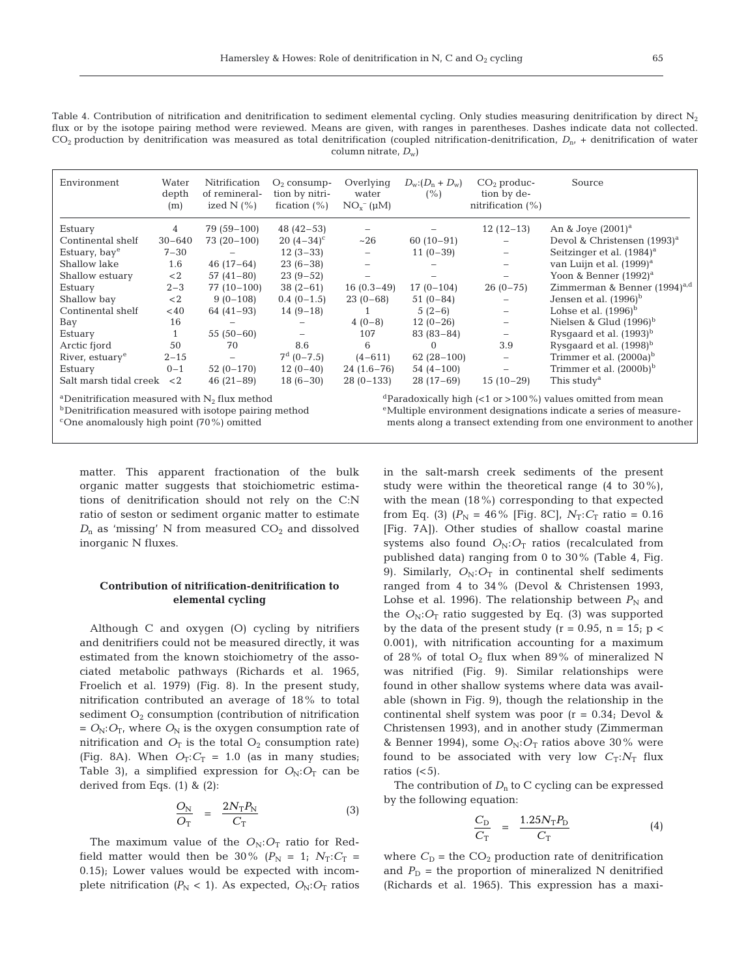65

Table 4. Contribution of nitrification and denitrification to sediment elemental cycling. Only studies measuring denitrification by direct  $N_2$ flux or by the isotope pairing method were reviewed. Means are given, with ranges in parentheses. Dashes indicate data not collected.  $CO<sub>2</sub>$  production by denitrification was measured as total denitrification (coupled nitrification-denitrification,  $D<sub>n</sub>$  + denitrification of water column nitrate, *D*w)

| Environment                 | Water<br>depth<br>(m) | Nitrification<br>of remineral-<br>ized $N$ $(\% )$ | $O2$ consump-<br>tion by nitri-<br>fication $(\%)$ | Overlying<br>water<br>$NOx-(µM)$ | $D_w: (D_n + D_w)$<br>(% ) | $CO2$ produc-<br>tion by de-<br>nitrification $(\% )$ | Source                                  |
|-----------------------------|-----------------------|----------------------------------------------------|----------------------------------------------------|----------------------------------|----------------------------|-------------------------------------------------------|-----------------------------------------|
| Estuary                     | 4                     | 79 (59–100)                                        | $48(42-53)$                                        | $\qquad \qquad -$                |                            | $12(12-13)$                                           | An & Joye $(2001)^a$                    |
| Continental shelf           | $30 - 640$            | $73(20-100)$                                       | $20(4-34)^{c}$                                     | ~26                              | $60(10-91)$                |                                                       | Devol & Christensen (1993) <sup>a</sup> |
| Estuary, bay <sup>e</sup>   | $7 - 30$              |                                                    | $12(3-33)$                                         | $\overline{\phantom{m}}$         | $11(0-39)$                 | $\overline{\phantom{0}}$                              | Seitzinger et al. (1984) <sup>a</sup>   |
| Shallow lake                | 1.6                   | $46(17-64)$                                        | $23(6-38)$                                         | $\qquad \qquad -$                |                            |                                                       | van Luijn et al. (1999) <sup>a</sup>    |
| Shallow estuary             | $<$ 2                 | $57(41-80)$                                        | $23(9-52)$                                         |                                  |                            |                                                       | Yoon & Benner $(1992)^a$                |
| Estuary                     | $2 - 3$               | $77(10-100)$                                       | $38(2-61)$                                         | $16(0.3-49)$                     | $17(0-104)$                | $26(0-75)$                                            | Zimmerman & Benner $(1994)^{a,d}$       |
| Shallow bay                 | $\lt2$                | $9(0-108)$                                         | $0.4(0-1.5)$                                       | $23(0-68)$                       | $51(0-84)$                 |                                                       | Jensen et al. $(1996)^b$                |
| Continental shelf           | <40                   | $64(41-93)$                                        | $14(9-18)$                                         |                                  | $5(2-6)$                   | $\overline{\phantom{m}}$                              | Lohse et al. $(1996)^b$                 |
| Bay                         | 16                    |                                                    |                                                    | $4(0-8)$                         | $12(0-26)$                 | $\qquad \qquad -$                                     | Nielsen & Glud $(1996)^b$               |
| Estuary                     | $\mathbf{1}$          | $55(50-60)$                                        | $\overline{\phantom{0}}$                           | 107                              | $83(83-84)$                |                                                       | Rysgaard et al. $(1993)^b$              |
| Arctic fjord                | 50                    | 70                                                 | 8.6                                                | 6                                | $\Omega$                   | 3.9                                                   | Rysgaard et al. (1998) <sup>b</sup>     |
| River, estuary <sup>e</sup> | $2 - 15$              | $\overline{\phantom{0}}$                           | $7^d$ (0-7.5)                                      | $(4 - 611)$                      | $62(28-100)$               | $\overline{\phantom{m}}$                              | Trimmer et al. $(2000a)^b$              |
| Estuary                     | $0 - 1$               | $52(0-170)$                                        | $12(0-40)$                                         | $24(1.6-76)$                     | $54(4-100)$                | $\overline{\phantom{m}}$                              | Trimmer et al. $(2000b)^b$              |
| Salt marsh tidal creek      | $\langle 2$           | $46(21-89)$                                        | $18(6-30)$                                         | $28(0-133)$                      | $28(17-69)$                | $15(10-29)$                                           | This study <sup>a</sup>                 |

and dParadoxically high (<1 or >100%) values omitted from mean bDenitrification measured with isotope pairing method bDenitrification measured with isotope pairing method build be different designations indicate a series <sup>c</sup>One anomalously high point (70%) omitted emergency ements along a transect extending from one environment to another

matter. This apparent fractionation of the bulk organic matter suggests that stoichiometric estimations of denitrification should not rely on the C:N ratio of seston or sediment organic matter to estimate  $D_n$  as 'missing' N from measured  $CO_2$  and dissolved inorganic N fluxes.

# **Contribution of nitrification-denitrification to elemental cycling**

Although C and oxygen (O) cycling by nitrifiers and denitrifiers could not be measured directly, it was estimated from the known stoichiometry of the associated metabolic pathways (Richards et al. 1965, Froelich et al. 1979) (Fig. 8). In the present study, nitrification contributed an average of 18% to total sediment  $O_2$  consumption (contribution of nitrification  $= O_N$ :  $O_T$ , where  $O_N$  is the oxygen consumption rate of nitrification and  $O_T$  is the total  $O_2$  consumption rate) (Fig. 8A). When  $O_T: C_T = 1.0$  (as in many studies; Table 3), a simplified expression for  $O_N: O_T$  can be derived from Eqs. (1) & (2):

$$
\frac{O_N}{O_T} = \frac{2N_T P_N}{C_T} \tag{3}
$$

The maximum value of the  $O_N:O_T$  ratio for Redfield matter would then be 30%  $(P_N = 1; N_T:C_T =$ 0.15); Lower values would be expected with incomplete nitrification  $(P_N < 1)$ . As expected,  $O_N: O_T$  ratios

in the salt-marsh creek sediments of the present study were within the theoretical range  $(4 \text{ to } 30\%)$ , with the mean (18%) corresponding to that expected from Eq. (3)  $(P_N = 46\%$  [Fig. 8C],  $N_T$ :  $C_T$  ratio = 0.16 [Fig. 7A]). Other studies of shallow coastal marine systems also found  $O_N:O_T$  ratios (recalculated from published data) ranging from 0 to 30% (Table 4, Fig. 9). Similarly,  $O_N:O_T$  in continental shelf sediments ranged from 4 to 34% (Devol & Christensen 1993, Lohse et al. 1996). The relationship between  $P_N$  and the  $O_N:O_T$  ratio suggested by Eq. (3) was supported by the data of the present study ( $r = 0.95$ ,  $n = 15$ ;  $p <$ 0.001), with nitrification accounting for a maximum of 28% of total  $O_2$  flux when 89% of mineralized N was nitrified (Fig. 9). Similar relationships were found in other shallow systems where data was available (shown in Fig. 9), though the relationship in the continental shelf system was poor  $(r = 0.34;$  Devol & Christensen 1993), and in another study (Zimmerman & Benner 1994), some  $O_N:O_T$  ratios above 30% were found to be associated with very low  $C_T:N_T$  flux ratios  $(<5)$ .

The contribution of  $D_n$  to C cycling can be expressed by the following equation:

$$
\frac{C_{\rm D}}{C_{\rm T}} = \frac{1.25N_{\rm T}P_{\rm D}}{C_{\rm T}} \tag{4}
$$

where  $C_D$  = the  $CO_2$  production rate of denitrification and  $P_D$  = the proportion of mineralized N denitrified (Richards et al*.* 1965). This expression has a maxi-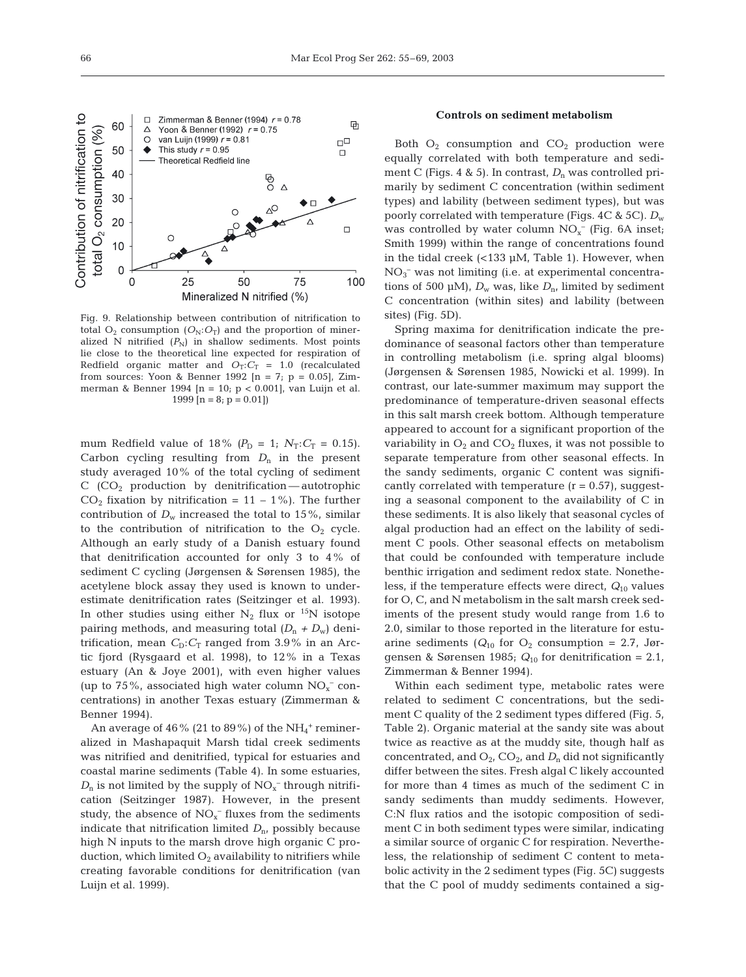

Fig. 9. Relationship between contribution of nitrification to total  $O_2$  consumption  $(O_N; O_T)$  and the proportion of mineralized N nitrified  $(P_N)$  in shallow sediments. Most points lie close to the theoretical line expected for respiration of Redfield organic matter and  $O_T: C_T = 1.0$  (recalculated from sources: Yoon & Benner 1992  $[n = 7; p = 0.05]$ , Zimmerman & Benner 1994 [n = 10; p < 0.001], van Luijn et al. 1999  $[n = 8; p = 0.01]$ 

mum Redfield value of 18%  $(P_D = 1; N_T: C_T = 0.15)$ . Carbon cycling resulting from  $D_n$  in the present study averaged 10% of the total cycling of sediment  $C$  (CO<sub>2</sub> production by denitrification — autotrophic  $CO<sub>2</sub>$  fixation by nitrification = 11 – 1%). The further contribution of  $D_w$  increased the total to 15%, similar to the contribution of nitrification to the  $O_2$  cycle. Although an early study of a Danish estuary found that denitrification accounted for only 3 to 4% of sediment C cycling (Jørgensen & Sørensen 1985), the acetylene block assay they used is known to underestimate denitrification rates (Seitzinger et al. 1993). In other studies using either  $N_2$  flux or <sup>15</sup>N isotope pairing methods, and measuring total  $(D_n + D_w)$  denitrification, mean  $C_D$ :  $C_T$  ranged from 3.9% in an Arctic fjord (Rysgaard et al. 1998), to 12% in a Texas estuary (An & Joye 2001), with even higher values (up to 75%, associated high water column  $NO<sub>x</sub><sup>-</sup>$  concentrations) in another Texas estuary (Zimmerman & Benner 1994).

An average of 46% (21 to 89%) of the  $\mathrm{NH}_4{}^+$  remineralized in Mashapaquit Marsh tidal creek sediments was nitrified and denitrified, typical for estuaries and coastal marine sediments (Table 4). In some estuaries,  $D_n$  is not limited by the supply of  $NO_x^-$  through nitrification (Seitzinger 1987). However, in the present study, the absence of  $NO<sub>x</sub><sup>-</sup>$  fluxes from the sediments indicate that nitrification limited  $D<sub>n</sub>$ , possibly because high N inputs to the marsh drove high organic C production, which limited  $O_2$  availability to nitrifiers while creating favorable conditions for denitrification (van Luijn et al. 1999).

## **Controls on sediment metabolism**

Both  $O_2$  consumption and  $CO_2$  production were equally correlated with both temperature and sediment C (Figs. 4 & 5). In contrast,  $D_n$  was controlled primarily by sediment C concentration (within sediment types) and lability (between sediment types), but was poorly correlated with temperature (Figs. 4C & 5C).  $D_w$ was controlled by water column  $NO<sub>x</sub><sup>-</sup>$  (Fig. 6A inset; Smith 1999) within the range of concentrations found in the tidal creek (<133 µM, Table 1). However, when NO3 – was not limiting (i.e. at experimental concentrations of 500 µM),  $D_w$  was, like  $D_n$ , limited by sediment C concentration (within sites) and lability (between sites) (Fig. 5D).

Spring maxima for denitrification indicate the predominance of seasonal factors other than temperature in controlling metabolism (i.e. spring algal blooms) (Jørgensen & Sørensen 1985, Nowicki et al. 1999). In contrast, our late-summer maximum may support the predominance of temperature-driven seasonal effects in this salt marsh creek bottom. Although temperature appeared to account for a significant proportion of the variability in  $O_2$  and  $CO_2$  fluxes, it was not possible to separate temperature from other seasonal effects. In the sandy sediments, organic C content was significantly correlated with temperature  $(r = 0.57)$ , suggesting a seasonal component to the availability of C in these sediments. It is also likely that seasonal cycles of algal production had an effect on the lability of sediment C pools. Other seasonal effects on metabolism that could be confounded with temperature include benthic irrigation and sediment redox state. Nonetheless, if the temperature effects were direct, *Q*<sup>10</sup> values for O, C, and N metabolism in the salt marsh creek sediments of the present study would range from 1.6 to 2.0, similar to those reported in the literature for estuarine sediments ( $Q_{10}$  for  $O_2$  consumption = 2.7, Jørgensen & Sørensen 1985;  $Q_{10}$  for denitrification = 2.1, Zimmerman & Benner 1994).

Within each sediment type, metabolic rates were related to sediment C concentrations, but the sediment C quality of the 2 sediment types differed (Fig. 5, Table 2). Organic material at the sandy site was about twice as reactive as at the muddy site, though half as concentrated, and  $O_2$ ,  $CO_2$ , and  $D_n$  did not significantly differ between the sites. Fresh algal C likely accounted for more than 4 times as much of the sediment C in sandy sediments than muddy sediments. However, C:N flux ratios and the isotopic composition of sediment C in both sediment types were similar, indicating a similar source of organic C for respiration. Nevertheless, the relationship of sediment C content to metabolic activity in the 2 sediment types (Fig. 5C) suggests that the C pool of muddy sediments contained a sig-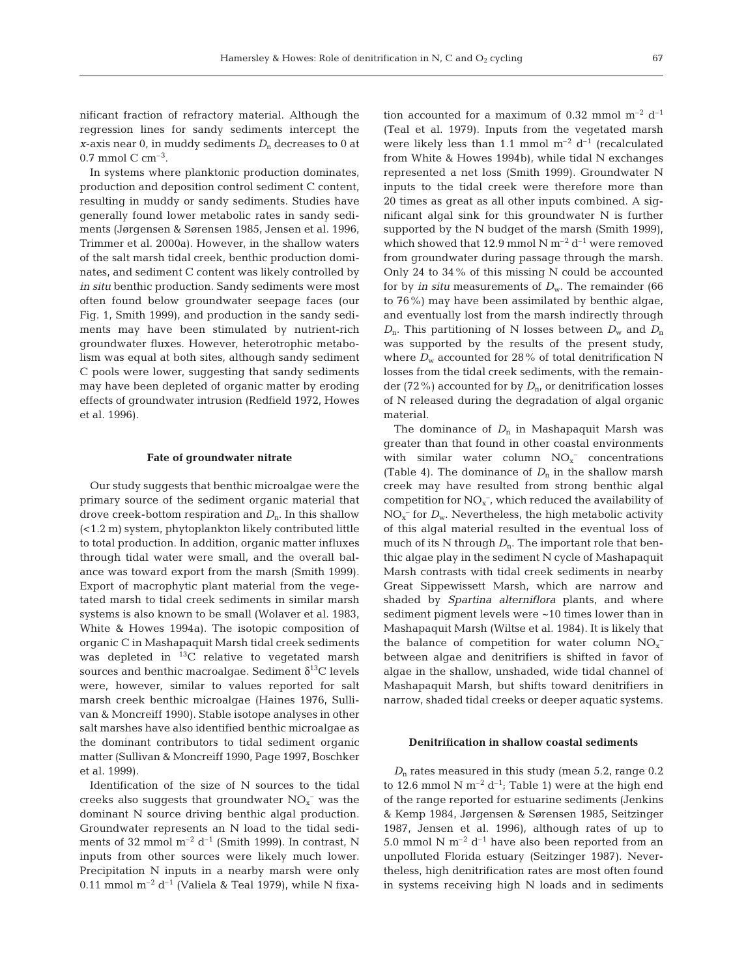nificant fraction of refractory material. Although the regression lines for sandy sediments intercept the *x*-axis near 0, in muddy sediments  $D_n$  decreases to 0 at  $0.7$  mmol C cm<sup>-3</sup>.

In systems where planktonic production dominates, production and deposition control sediment C content, resulting in muddy or sandy sediments. Studies have generally found lower metabolic rates in sandy sediments (Jørgensen & Sørensen 1985, Jensen et al. 1996, Trimmer et al. 2000a). However, in the shallow waters of the salt marsh tidal creek, benthic production dominates, and sediment C content was likely controlled by *in situ* benthic production. Sandy sediments were most often found below groundwater seepage faces (our Fig. 1, Smith 1999), and production in the sandy sediments may have been stimulated by nutrient-rich groundwater fluxes. However, heterotrophic metabolism was equal at both sites, although sandy sediment C pools were lower, suggesting that sandy sediments may have been depleted of organic matter by eroding effects of groundwater intrusion (Redfield 1972, Howes et al. 1996).

## **Fate of groundwater nitrate**

Our study suggests that benthic microalgae were the primary source of the sediment organic material that drove creek-bottom respiration and *D*n. In this shallow (<1.2 m) system, phytoplankton likely contributed little to total production. In addition, organic matter influxes through tidal water were small, and the overall balance was toward export from the marsh (Smith 1999). Export of macrophytic plant material from the vegetated marsh to tidal creek sediments in similar marsh systems is also known to be small (Wolaver et al. 1983, White & Howes 1994a). The isotopic composition of organic C in Mashapaquit Marsh tidal creek sediments was depleted in  ${}^{13}C$  relative to vegetated marsh sources and benthic macroalgae. Sediment  $\delta^{13}C$  levels were, however, similar to values reported for salt marsh creek benthic microalgae (Haines 1976, Sullivan & Moncreiff 1990). Stable isotope analyses in other salt marshes have also identified benthic microalgae as the dominant contributors to tidal sediment organic matter (Sullivan & Moncreiff 1990, Page 1997, Boschker et al. 1999).

Identification of the size of N sources to the tidal creeks also suggests that groundwater  $NO<sub>x</sub><sup>-</sup>$  was the dominant N source driving benthic algal production. Groundwater represents an N load to the tidal sediments of 32 mmol  $m^{-2} d^{-1}$  (Smith 1999). In contrast, N inputs from other sources were likely much lower. Precipitation N inputs in a nearby marsh were only 0.11 mmol  $m^{-2} d^{-1}$  (Valiela & Teal 1979), while N fixa-

tion accounted for a maximum of 0.32 mmol  $m^{-2}$  d<sup>-1</sup> (Teal et al. 1979). Inputs from the vegetated marsh were likely less than 1.1 mmol  $m^{-2} d^{-1}$  (recalculated from White & Howes 1994b), while tidal N exchanges represented a net loss (Smith 1999). Groundwater N inputs to the tidal creek were therefore more than 20 times as great as all other inputs combined. A significant algal sink for this groundwater N is further supported by the N budget of the marsh (Smith 1999), which showed that 12.9 mmol N  $m^{-2}$  d<sup>-1</sup> were removed from groundwater during passage through the marsh. Only 24 to 34% of this missing N could be accounted for by *in situ* measurements of  $D_w$ . The remainder (66 to 76%) may have been assimilated by benthic algae, and eventually lost from the marsh indirectly through  $D_n$ . This partitioning of N losses between  $D_w$  and  $D_n$ was supported by the results of the present study, where  $D_w$  accounted for 28% of total denitrification N losses from the tidal creek sediments, with the remainder (72%) accounted for by  $D<sub>n</sub>$ , or denitrification losses of N released during the degradation of algal organic material.

The dominance of  $D_n$  in Mashapaquit Marsh was greater than that found in other coastal environments with similar water column  $NO<sub>x</sub><sup>-</sup>$  concentrations (Table 4). The dominance of  $D_n$  in the shallow marsh creek may have resulted from strong benthic algal competition for  $NO<sub>x</sub><sup>-</sup>$ , which reduced the availability of  $NO<sub>x</sub><sup>-</sup>$  for  $D<sub>w</sub>$ . Nevertheless, the high metabolic activity of this algal material resulted in the eventual loss of much of its N through  $D_n$ . The important role that benthic algae play in the sediment N cycle of Mashapaquit Marsh contrasts with tidal creek sediments in nearby Great Sippewissett Marsh, which are narrow and shaded by *Spartina alterniflora* plants, and where sediment pigment levels were ~10 times lower than in Mashapaquit Marsh (Wiltse et al. 1984). It is likely that the balance of competition for water column  $NO<sub>x</sub>^$ between algae and denitrifiers is shifted in favor of algae in the shallow, unshaded, wide tidal channel of Mashapaquit Marsh, but shifts toward denitrifiers in narrow, shaded tidal creeks or deeper aquatic systems.

## **Denitrification in shallow coastal sediments**

*D*<sup>n</sup> rates measured in this study (mean 5.2, range 0.2 to 12.6 mmol N  $m^{-2}$  d<sup>-1</sup>; Table 1) were at the high end of the range reported for estuarine sediments (Jenkins & Kemp 1984, Jørgensen & Sørensen 1985, Seitzinger 1987, Jensen et al. 1996), although rates of up to 5.0 mmol N  $m^{-2}$  d<sup>-1</sup> have also been reported from an unpolluted Florida estuary (Seitzinger 1987). Nevertheless, high denitrification rates are most often found in systems receiving high N loads and in sediments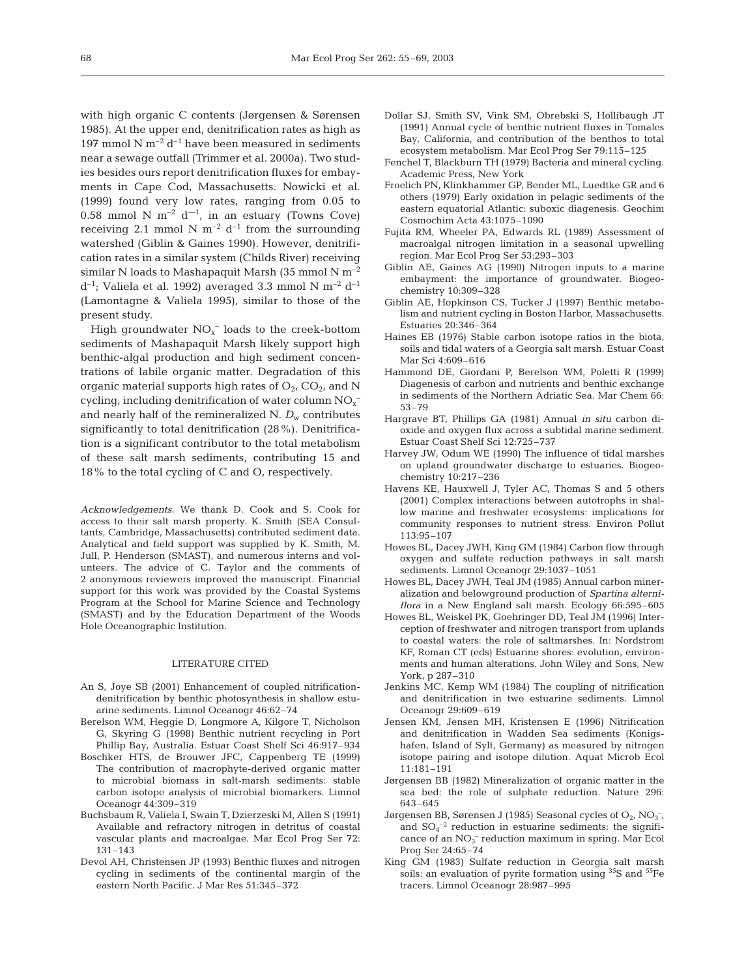with high organic C contents (Jørgensen & Sørensen 1985). At the upper end, denitrification rates as high as 197 mmol N  $m^{-2}$  d<sup>-1</sup> have been measured in sediments near a sewage outfall (Trimmer et al*.* 2000a). Two studies besides ours report denitrification fluxes for embayments in Cape Cod, Massachusetts. Nowicki et al. (1999) found very low rates, ranging from 0.05 to 0.58 mmol N  $m^{-2}$  d<sup>-1</sup>, in an estuary (Towns Cove) receiving 2.1 mmol N  $m^{-2}$  d<sup>-1</sup> from the surrounding watershed (Giblin & Gaines 1990). However, denitrification rates in a similar system (Childs River) receiving similar N loads to Mashapaquit Marsh (35 mmol N  $m^{-2}$  $d^{-1}$ ; Valiela et al. 1992) averaged 3.3 mmol N m<sup>-2</sup>  $d^{-1}$ (Lamontagne & Valiela 1995), similar to those of the present study.

High groundwater  $NO<sub>x</sub><sup>-</sup>$  loads to the creek-bottom sediments of Mashapaquit Marsh likely support high benthic-algal production and high sediment concentrations of labile organic matter. Degradation of this organic material supports high rates of  $O_{21}$  CO<sub>2</sub>, and N cycling, including denitrification of water column  $\mathrm{NO_x^-}$ and nearly half of the remineralized N.  $D_w$  contributes significantly to total denitrification (28%). Denitrification is a significant contributor to the total metabolism of these salt marsh sediments, contributing 15 and 18% to the total cycling of C and O, respectively.

*Acknowledgements.* We thank D. Cook and S. Cook for access to their salt marsh property. K. Smith (SEA Consultants, Cambridge, Massachusetts) contributed sediment data. Analytical and field support was supplied by K. Smith, M. Jull, P. Henderson (SMAST), and numerous interns and volunteers. The advice of C. Taylor and the comments of 2 anonymous reviewers improved the manuscript. Financial support for this work was provided by the Coastal Systems Program at the School for Marine Science and Technology (SMAST) and by the Education Department of the Woods Hole Oceanographic Institution.

## LITERATURE CITED

- An S, Joye SB (2001) Enhancement of coupled nitrificationdenitrification by benthic photosynthesis in shallow estuarine sediments. Limnol Oceanogr 46:62–74
- Berelson WM, Heggie D, Longmore A, Kilgore T, Nicholson G, Skyring G (1998) Benthic nutrient recycling in Port Phillip Bay, Australia. Estuar Coast Shelf Sci 46:917–934
- Boschker HTS, de Brouwer JFC, Cappenberg TE (1999) The contribution of macrophyte-derived organic matter to microbial biomass in salt-marsh sediments: stable carbon isotope analysis of microbial biomarkers. Limnol Oceanogr 44:309–319
- Buchsbaum R, Valiela I, Swain T, Dzierzeski M, Allen S (1991) Available and refractory nitrogen in detritus of coastal vascular plants and macroalgae. Mar Ecol Prog Ser 72: 131–143
- Devol AH, Christensen JP (1993) Benthic fluxes and nitrogen cycling in sediments of the continental margin of the eastern North Pacific. J Mar Res 51:345–372
- Dollar SJ, Smith SV, Vink SM, Obrebski S, Hollibaugh JT (1991) Annual cycle of benthic nutrient fluxes in Tomales Bay, California, and contribution of the benthos to total ecosystem metabolism. Mar Ecol Prog Ser 79:115–125
- Fenchel T, Blackburn TH (1979) Bacteria and mineral cycling. Academic Press, New York
- Froelich PN, Klinkhammer GP, Bender ML, Luedtke GR and 6 others (1979) Early oxidation in pelagic sediments of the eastern equatorial Atlantic: suboxic diagenesis. Geochim Cosmochim Acta 43:1075–1090
- Fujita RM, Wheeler PA, Edwards RL (1989) Assessment of macroalgal nitrogen limitation in a seasonal upwelling region. Mar Ecol Prog Ser 53:293–303
- Giblin AE, Gaines AG (1990) Nitrogen inputs to a marine embayment: the importance of groundwater. Biogeochemistry 10:309–328
- Giblin AE, Hopkinson CS, Tucker J (1997) Benthic metabolism and nutrient cycling in Boston Harbor, Massachusetts. Estuaries 20:346–364
- Haines EB (1976) Stable carbon isotope ratios in the biota, soils and tidal waters of a Georgia salt marsh. Estuar Coast Mar Sci 4:609–616
- Hammond DE, Giordani P, Berelson WM, Poletti R (1999) Diagenesis of carbon and nutrients and benthic exchange in sediments of the Northern Adriatic Sea. Mar Chem 66: 53–79
- Hargrave BT, Phillips GA (1981) Annual *in situ* carbon dioxide and oxygen flux across a subtidal marine sediment. Estuar Coast Shelf Sci 12:725–737
- Harvey JW, Odum WE (1990) The influence of tidal marshes on upland groundwater discharge to estuaries. Biogeochemistry 10:217–236
- Havens KE, Hauxwell J, Tyler AC, Thomas S and 5 others (2001) Complex interactions between autotrophs in shallow marine and freshwater ecosystems: implications for community responses to nutrient stress. Environ Pollut 113:95–107
- Howes BL, Dacey JWH, King GM (1984) Carbon flow through oxygen and sulfate reduction pathways in salt marsh sediments. Limnol Oceanogr 29:1037–1051
- Howes BL, Dacey JWH, Teal JM (1985) Annual carbon mineralization and belowground production of *Spartina alterniflora* in a New England salt marsh. Ecology 66:595–605
- Howes BL, Weiskel PK, Goehringer DD, Teal JM (1996) Interception of freshwater and nitrogen transport from uplands to coastal waters: the role of saltmarshes. In: Nordstrom KF, Roman CT (eds) Estuarine shores: evolution, environments and human alterations. John Wiley and Sons, New York, p 287–310
- Jenkins MC, Kemp WM (1984) The coupling of nitrification and denitrification in two estuarine sediments. Limnol Oceanogr 29:609–619
- Jensen KM, Jensen MH, Kristensen E (1996) Nitrification and denitrification in Wadden Sea sediments (Konigshafen, Island of Sylt, Germany) as measured by nitrogen isotope pairing and isotope dilution. Aquat Microb Ecol 11:181–191
- Jørgensen BB (1982) Mineralization of organic matter in the sea bed: the role of sulphate reduction. Nature 296: 643–645
- Jørgensen BB, Sørensen J (1985) Seasonal cycles of  $O_2$ ,  $NO_3^-$ , and  $SO_4^{-2}$  reduction in estuarine sediments: the significance of an NO<sub>3</sub><sup>-</sup> reduction maximum in spring. Mar Ecol Prog Ser 24:65–74
- King GM (1983) Sulfate reduction in Georgia salt marsh soils: an evaluation of pyrite formation using  ${}^{35}S$  and  ${}^{55}Fe$ tracers. Limnol Oceanogr 28:987–995